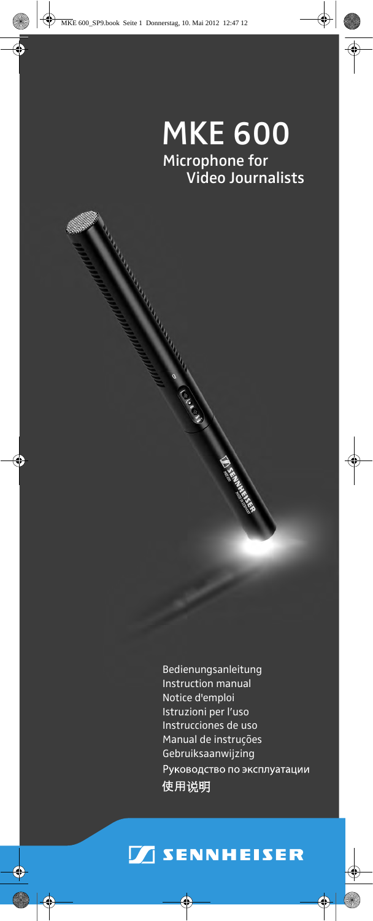# Video Journalists MKE 600 Microphone for

**Contract Contract Contract Contract Contract Contract Contract Contract Contract Contract Contract Contract Contract Contract Contract Contract Contract Contract Contract Contract Contract Contract Contract Contract Contr** 

AND STRINGER STRINGER STRINGER STRINGER STRINGER STRINGER STRINGER STRINGER STRINGER STRINGER STRINGER STRINGE

Bedienungsanleitung Instruction manual Notice d'emploi Istruzioni per l'uso Instrucciones de uso Manual de instruções Gebruiksaanwijzing Руководство по эксплуатации 使用说明

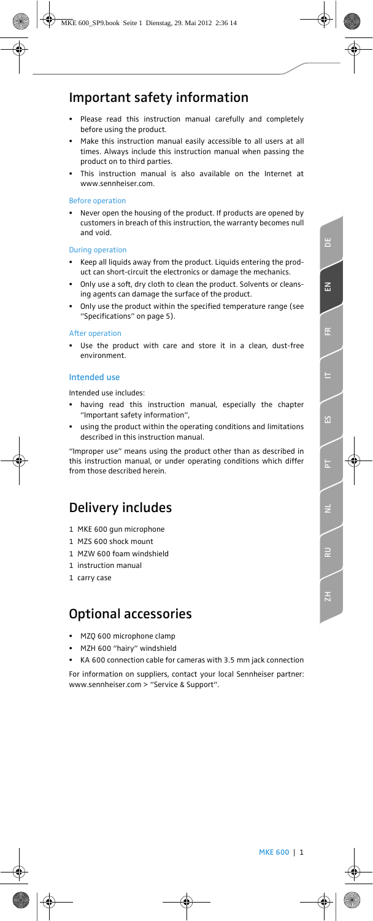## Important safety information

- Please read this instruction manual carefully and completely before using the product.
- Make this instruction manual easily accessible to all users at all times. Always include this instruction manual when passing the product on to third parties.
- This instruction manual is also available on the Internet at www.sennheiser.com.

#### Before operation

• Never open the housing of the product. If products are opened by customers in breach of this instruction, the warranty becomes null and void.

#### During operation

- Keep all liquids away from the product. Liquids entering the product can short-circuit the electronics or damage the mechanics.
- Only use a soft, dry cloth to clean the product. Solvents or cleansing agents can damage the surface of the product.
- Only use the product within the specified temperature range (see "Specifications" on page 5).

#### After operation

Use the product with care and store it in a clean, dust-free environment.

#### Intended use

Intended use includes:

- having read this instruction manual, especially the chapter "Important safety information",
- using the product within the operating conditions and limitations described in this instruction manual.

"Improper use" means using the product other than as described in this instruction manual, or under operating conditions which differ from those described herein.

## Delivery includes

- 1 MKE 600 gun microphone
- 1 MZS 600 shock mount
- 1 MZW 600 foam windshield
- 1 instruction manual
- 1 carry case

## Optional accessories

- MZQ 600 microphone clamp
- MZH 600 "hairy" windshield
- KA 600 connection cable for cameras with 3.5 mm jack connection

For information on suppliers, contact your local Sennheiser partner: www.sennheiser.com > "Service & Support".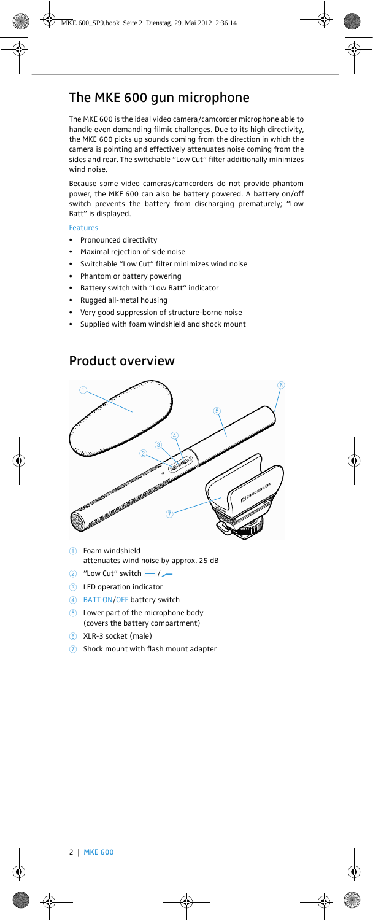## The MKE 600 gun microphone

The MKE 600 is the ideal video camera/camcorder microphone able to handle even demanding filmic challenges. Due to its high directivity, the MKE 600 picks up sounds coming from the direction in which the camera is pointing and effectively attenuates noise coming from the sides and rear. The switchable "Low Cut" filter additionally minimizes wind noise.

Because some video cameras/camcorders do not provide phantom power, the MKE 600 can also be battery powered. A battery on/off switch prevents the battery from discharging prematurely; "Low Batt" is displayed.

#### Features

- Pronounced directivity
- Maximal rejection of side noise
- Switchable "Low Cut" filter minimizes wind noise
- Phantom or battery powering
- Battery switch with "Low Batt" indicator
- Rugged all-metal housing
- Very good suppression of structure-borne noise
- Supplied with foam windshield and shock mount



## Product overview

- $(1)$  Foam windshield attenuates wind noise by approx. 25 dB
- $(2)$  "Low Cut" switch  $-1$
- 3 LED operation indicator
- 4 BATT ON/OFF battery switch
- 5 Lower part of the microphone body (covers the battery compartment)
- 6 XLR-3 socket (male)
- 7 Shock mount with flash mount adapter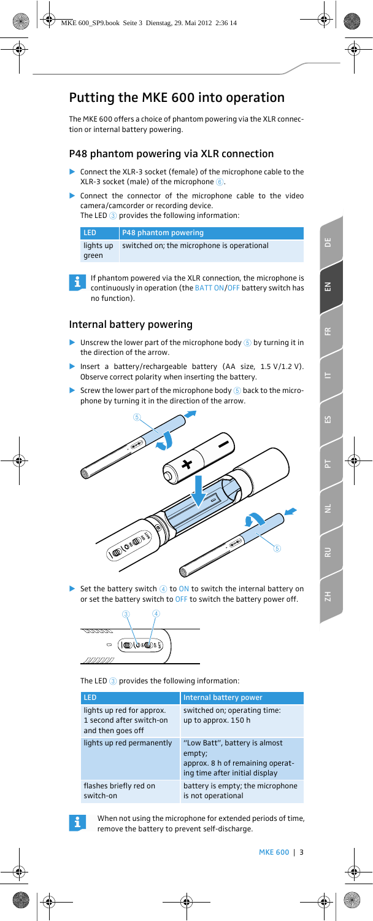## Putting the MKE 600 into operation

The MKE 600 offers a choice of phantom powering via the XLR connection or internal battery powering.

## P48 phantom powering via XLR connection

- $\blacktriangleright$  Connect the XLR-3 socket (female) of the microphone cable to the XLR-3 socket (male) of the microphone  $\circled$ .
- - Connect the connector of the microphone cable to the video camera/camcorder or recording device. The LED 3 provides the following information:

| <b>LED</b> | P48 phantom powering                       |
|------------|--------------------------------------------|
| lights up  | switched on; the microphone is operational |
| areen      |                                            |



If phantom powered via the XLR connection, the microphone is continuously in operation (the BATT ON/OFF battery switch has no function).

## Internal battery powering

- $\blacktriangleright$ Unscrew the lower part of the microphone body  $6$  by turning it in the direction of the arrow.
- $\blacktriangleright$  Insert a battery/rechargeable battery (AA size, 1.5 V/1.2 V). Observe correct polarity when inserting the battery.
- $\blacktriangleright$ Screw the lower part of the microphone body  $(5)$  back to the microphone by turning it in the direction of the arrow.



 $\blacktriangleright$ Set the battery switch  $\overline{4}$  to ON to switch the internal battery on or set the battery switch to OFF to switch the battery power off.



The LED 3 provides the following information:

| <b>LED</b>                                                                 | Internal battery power                                                                                        |
|----------------------------------------------------------------------------|---------------------------------------------------------------------------------------------------------------|
| lights up red for approx.<br>1 second after switch-on<br>and then goes off | switched on; operating time:<br>up to approx. 150 h                                                           |
| lights up red permanently                                                  | "Low Batt", battery is almost<br>empty;<br>approx. 8 h of remaining operat-<br>ing time after initial display |
| flashes briefly red on<br>switch-on                                        | battery is empty; the microphone<br>is not operational                                                        |



When not using the microphone for extended periods of time, remove the battery to prevent self-discharge.

ă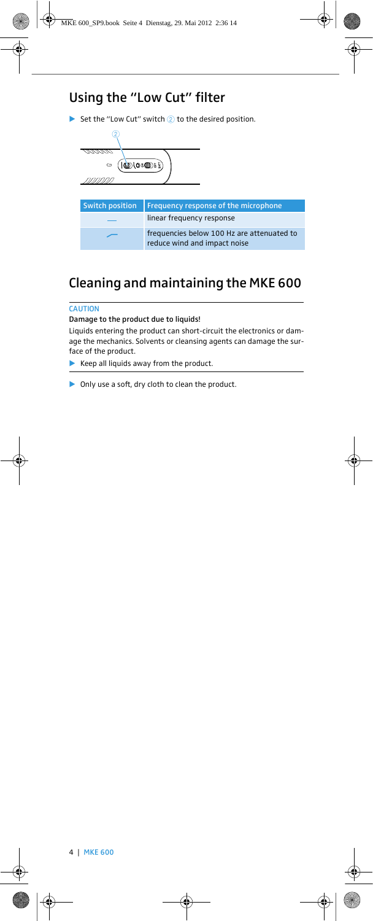## Using the "Low Cut" filter

 $\blacktriangleright$  Set the "Low Cut" switch  $\oslash$  to the desired position.



## Cleaning and maintaining the MKE 600

#### **CAUTION**

Damage to the product due to liquids!

Liquids entering the product can short-circuit the electronics or damage the mechanics. Solvents or cleansing agents can damage the surface of the product.

 $\blacktriangleright$  Keep all liquids away from the product.

 $\blacktriangleright$  Only use a soft, dry cloth to clean the product.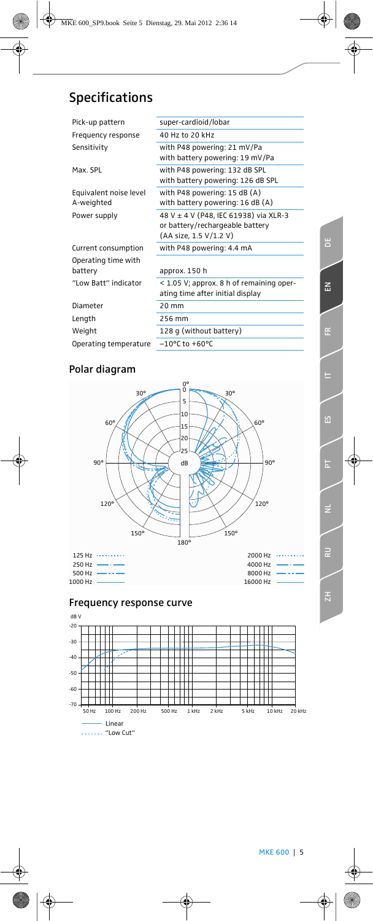# ă **ZH ES DE EN FR IT PT**  $\overline{z}$ **RU** 면

## Specifications

| Pick-up pattern        | super-cardioid/lobar                       |
|------------------------|--------------------------------------------|
| Frequency response     | 40 Hz to 20 kHz                            |
| Sensitivity            | with P48 powering: 21 mV/Pa                |
|                        | with battery powering: 19 mV/Pa            |
| Max. SPL               | with P48 powering: 132 dB SPL              |
|                        | with battery powering: 126 dB SPL          |
| Equivalent noise level | with P48 powering: $15$ dB (A)             |
| A-weighted             | with battery powering: 16 dB (A)           |
| Power supply           | 48 V ± 4 V (P48, IEC 61938) via XLR-3      |
|                        | or battery/rechargeable battery            |
|                        | (AA size, 1.5 V/1.2 V)                     |
| Current consumption    | with P48 powering: 4.4 mA                  |
| Operating time with    |                                            |
| battery                | approx. 150 h                              |
| "I ow Batt" indicator  | $<$ 1.05 V; approx. 8 h of remaining oper- |
|                        | ating time after initial display           |
| Diameter               | 20 mm                                      |
| Length                 | 256 mm                                     |
| Weight                 | 128 g (without battery)                    |
| Operating temperature  | $-10^{\circ}$ C to $+60^{\circ}$ C         |
|                        |                                            |

## Polar diagram



## Frequency response curve

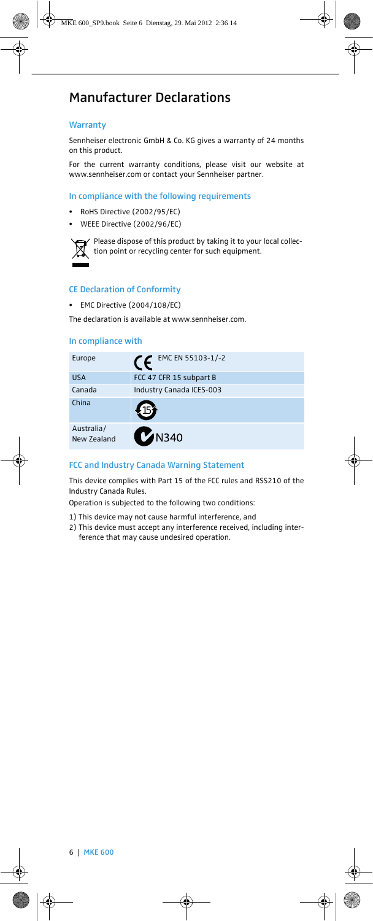## Manufacturer Declarations

#### **Warranty**

Sennheiser electronic GmbH & Co. KG gives a warranty of 24 months on this product.

For the current warranty conditions, please visit our website at www.sennheiser.com or contact your Sennheiser partner.

#### In compliance with the following requirements

- RoHS Directive (2002/95/EC)
- WEEE Directive (2002/96/EC)



Please dispose of this product by taking it to your local collection point or recycling center for such equipment.

#### CE Declaration of Conformity

• EMC Directive (2004/108/EC)

The declaration is available at www.sennheiser.com.

#### In compliance with

| Europe                    | EMC EN 55103-1/-2        |
|---------------------------|--------------------------|
| <b>USA</b>                | FCC 47 CFR 15 subpart B  |
| Canada                    | Industry Canada ICES-003 |
| China                     |                          |
| Australia/<br>New Zealand | <b>M</b> N340            |

#### FCC and Industry Canada Warning Statement

This device complies with Part 15 of the FCC rules and RSS210 of the Industry Canada Rules.

Operation is subjected to the following two conditions:

1) This device may not cause harmful interference, and

2) This device must accept any interference received, including interference that may cause undesired operation.